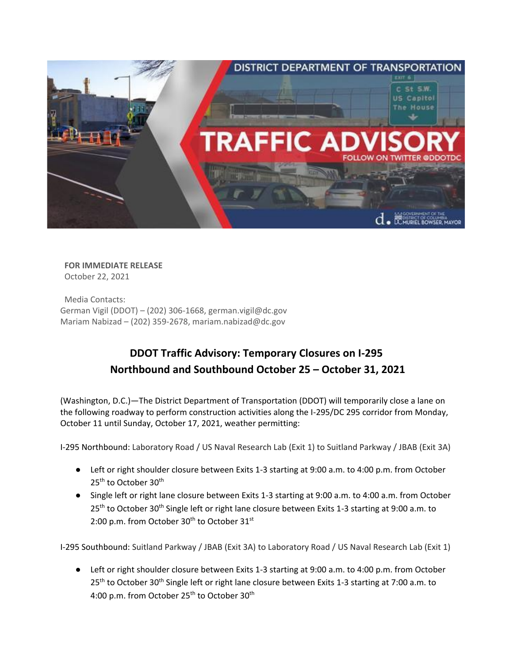

**FOR IMMEDIATE RELEASE** October 22, 2021

Media Contacts: German Vigil (DDOT) – (202) 306-1668, german.vigil@dc.gov Mariam Nabizad – (202) 359-2678[, mariam.nabizad@dc.gov](mailto:mariam.nabizad@dc.gov)

## **DDOT Traffic Advisory: Temporary Closures on I-295 Northbound and Southbound October 25 – October 31, 2021**

(Washington, D.C.)—The District Department of Transportation (DDOT) will temporarily close a lane on the following roadway to perform construction activities along the I-295/DC 295 corridor from Monday, October 11 until Sunday, October 17, 2021, weather permitting:

I-295 Northbound: Laboratory Road / US Naval Research Lab (Exit 1) to Suitland Parkway / JBAB (Exit 3A)

- Left or right shoulder closure between Exits 1-3 starting at 9:00 a.m. to 4:00 p.m. from October 25<sup>th</sup> to October 30<sup>th</sup>
- Single left or right lane closure between Exits 1-3 starting at 9:00 a.m. to 4:00 a.m. from October 25<sup>th</sup> to October 30<sup>th</sup> Single left or right lane closure between Exits 1-3 starting at 9:00 a.m. to 2:00 p.m. from October 30<sup>th</sup> to October 31<sup>st</sup>

I-295 Southbound: Suitland Parkway / JBAB (Exit 3A) to Laboratory Road / US Naval Research Lab (Exit 1)

● Left or right shoulder closure between Exits 1-3 starting at 9:00 a.m. to 4:00 p.m. from October 25<sup>th</sup> to October 30<sup>th</sup> Single left or right lane closure between Exits 1-3 starting at 7:00 a.m. to 4:00 p.m. from October 25<sup>th</sup> to October 30<sup>th</sup>